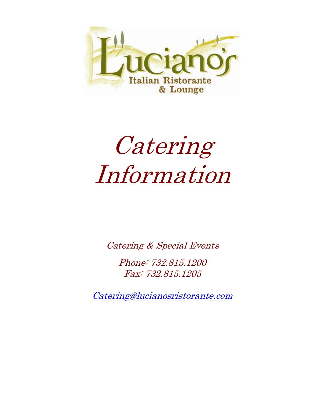

# Catering Information

Catering & Special Events

Phone: 732.815.1200 Fax: 732.815.1205

[Catering@lucianosristorante.com](mailto:Catering@lucianosristorante.com)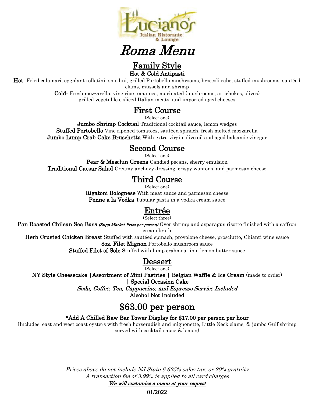

## Roma Menu

#### Family Style Hot & Cold Antipasti

Hot- Fried calamari, eggplant rollatini, spiedini, grilled Portobello mushrooms, broccoli rabe, stuffed mushrooms, sautéed clams, mussels and shrimp

> Cold- Fresh mozzarella, vine ripe tomatoes, marinated (mushrooms, artichokes, olives) grilled vegetables, sliced Italian meats, and imported aged cheeses

## First Course

(Select one)

**Jumbo Shrimp Cocktail** Traditional cocktail sauce, lemon wedges Stuffed Portobello Vine ripened tomatoes, sautéed spinach, fresh melted mozzarella **Jumbo Lump Crab Cake Bruschetta** With extra virgin olive oil and aged balsamic vinegar

## Second Course

(Select one)

Pear & Mesclun Greens Candied pecans, sherry emulsion Traditional Caesar Salad Creamy anchovy dressing, crispy wontons, and parmesan cheese

## Third Course

(Select one)

Rigatoni Bolognese With meat sauce and parmesan cheese Penne a la Vodka Tubular pasta in a vodka cream sauce

## Entrée

(Select three)

Pan Roasted Chilean Sea Bass (Supp Market Price per person) Over shrimp and asparagus risotto finished with a saffron cream broth

Herb Crusted Chicken Breast Stuffed with sautéed spinach, provolone cheese, prosciutto, Chianti wine sauce

8oz. Filet Mignon Portobello mushroom sauce Stuffed Filet of Sole Stuffed with lump crabmeat in a lemon butter sauce

## Dessert

(Select one)

NY Style Cheesecake |Assortment of Mini Pastries | Belgian Waffle & Ice Cream (made to order) | Special Occasion Cake

Soda, Coffee, Tea, Cappuccino, and Espresso Service Included

Alcohol Not Included

## \$63.00 per person

#### \*Add A Chilled Raw Bar Tower Display for \$17.00 per person per hour

(Includes: east and west coast oysters with fresh horseradish and mignonette, Little Neck clams, & jumbo Gulf shrimp served with cocktail sauce & lemon)

> Prices above do not include NJ State 6.625% sales tax, or 20% gratuity A transaction fee of 3.99% is applied to all card charges

We will customize a menu at your request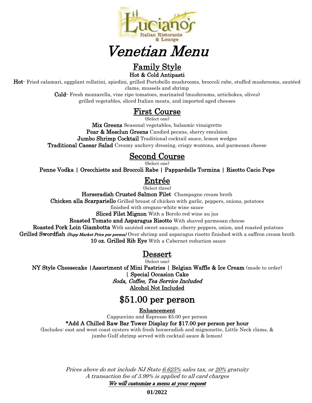

## Venetian Menu

Family Style

Hot & Cold Antipasti

Hot- Fried calamari, eggplant rollatini, spiedini, grilled Portobello mushrooms, broccoli rabe, stuffed mushrooms, sautéed clams, mussels and shrimp

> Cold- Fresh mozzarella, vine ripe tomatoes, marinated (mushrooms, artichokes, olives) grilled vegetables, sliced Italian meats, and imported aged cheeses

## First Course

(Select one)

Mix Greens Seasonal vegetables, balsamic vinaigrette Pear & Mesclun Greens Candied pecans, sherry emulsion **Jumbo Shrimp Cocktail** Traditional cocktail sauce, lemon wedges Traditional Caesar Salad Creamy anchovy dressing, crispy wontons, and parmesan cheese

### Second Course

(Select one)

Penne Vodka | Orecchiette and Broccoli Rabe | Pappardelle Tormina | Risotto Cacio Pepe

## Entrée

(Select three)

Horseradish Crusted Salmon Filet Champagne cream broth

Chicken alla Scarpariello Grilled breast of chicken with garlic, peppers, onions, potatoes

finished with oregano-white wine sauce

Sliced Filet Mignon With a Borolo red wine au jus

Roasted Tomato and Asparagus Risotto With shaved parmesan cheese

Roasted Pork Loin Giambotta With sautéed sweet sausage, cherry peppers, onion, and roasted potatoes Grilled Swordfish (Supp Market Price per person) Over shrimp and asparagus risotto finished with a saffron cream broth 10 oz. Grilled Rib Eye With a Cabernet reduction sauce

### Dessert

(Select one)

NY Style Cheesecake |Assortment of Mini Pastries | Belgian Waffle & Ice Cream (made to order) | Special Occasion Cake Soda, Coffee, Tea Service Included

Alcohol Not Included

## \$51.00 per person

Enhancement

Cappuccino and Espresso \$5.00 per person

#### \*Add A Chilled Raw Bar Tower Display for \$17.00 per person per hour

(Includes: east and west coast oysters with fresh horseradish and mignonette, Little Neck clams, & jumbo Gulf shrimp served with cocktail sauce & lemon)

> Prices above do not include NJ State 6.625% sales tax, or 20% gratuity A transaction fee of 3.99% is applied to all card charges

We will customize a menu at your request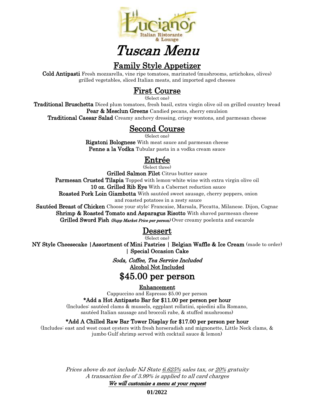

## Tuscan Menu

## Family Style Appetizer

Cold Antipasti Fresh mozzarella, vine ripe tomatoes, marinated (mushrooms, artichokes, olives) grilled vegetables, sliced Italian meats, and imported aged cheeses

## First Course

(Select one)

Traditional Bruschetta Diced plum tomatoes, fresh basil, extra virgin olive oil on grilled country bread Pear & Mesclun Greens Candied pecans, sherry emulsion

**Traditional Caesar Salad** Creamy anchovy dressing, crispy wontons, and parmesan cheese

## Second Course

(Select one)

Rigatoni Bolognese With meat sauce and parmesan cheese Penne a la Vodka Tubular pasta in a vodka cream sauce

## Entrée

(Select three)

Grilled Salmon Filet Citrus butter sauce

Parmesan Crusted Tilapia Topped with lemon-white wine with extra virgin olive oil

10 oz. Grilled Rib Eye With a Cabernet reduction sauce

Roasted Pork Loin Giambotta With sautéed sweet sausage, cherry peppers, onion

and roasted potatoes in a zesty sauce

Sautéed Breast of Chicken Choose your style: Francaise, Marsala, Piccatta, Milanese. Dijon, Cognac Shrimp & Roasted Tomato and Asparagus Risotto With shaved parmesan cheese Grilled Sword Fish *(Supp Market Price per person*) Over creamy poelenta and escarole

### Dessert

(Select one)

NY Style Cheesecake |Assortment of Mini Pastries | Belgian Waffle & Ice Cream (made to order) | Special Occasion Cake

> Soda, Coffee, Tea Service Included Alcohol Not Included

## \$45.00 per person

Enhancement

Cappuccino and Espresso \$5.00 per person

#### \*Add a Hot Antipasto Bar for \$11.00 per person per hour

(Includes: sautéed clams & mussels, eggplant rollatini, spiedini alla Romano, sautéed Italian sausage and broccoli rabe, & stuffed mushrooms)

#### \*Add A Chilled Raw Bar Tower Display for \$17.00 per person per hour

(Includes: east and west coast oysters with fresh horseradish and mignonette, Little Neck clams, & jumbo Gulf shrimp served with cocktail sauce & lemon)

> Prices above do not include NJ State 6.625% sales tax, or 20% gratuity A transaction fee of 3.99% is applied to all card charges

We will customize a menu at your request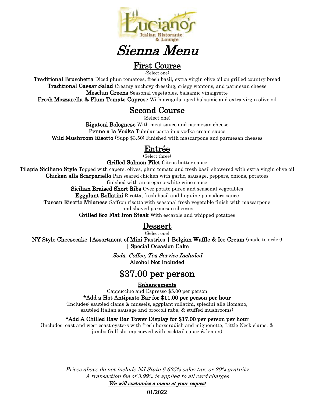

## Sienna Menu

## First Course

(Select one)

Traditional Bruschetta Diced plum tomatoes, fresh basil, extra virgin olive oil on grilled country bread **Traditional Caesar Salad** Creamy anchovy dressing, crispy wontons, and parmesan cheese Mesclun Greens Seasonal vegetables, balsamic vinaigrette

**Fresh Mozzarella & Plum Tomato Caprese** With arugula, aged balsamic and extra virgin olive oil

#### Second Course

(Select one)

Rigatoni Bolognese With meat sauce and parmesan cheese Penne a la Vodka Tubular pasta in a vodka cream sauce Wild Mushroom Risotto (Supp \$3.50) Finished with mascarpone and parmesan cheeses

### Entrée

(Select three)

Grilled Salmon Filet Citrus butter sauce

**Tilapia Siciliano Style** Topped with capers, olives, plum tomato and fresh basil showered with extra virgin olive oil Chicken alla Scarpariello Pan seared chicken with garlic, sausage, peppers, onions, potatoes

finished with an oregano-white wine sauce

Sicilian Braised Short Ribs Over potato puree and seasonal vegetables

Eggplant Rollatini Ricotta, fresh basil and linguine pomodoro sauce

Tuscan Risotto Milanese Saffron risotto with seasonal fresh vegetable finish with mascarpone

and shaved parmesan cheeses

Grilled 80z Flat Iron Steak With escarole and whipped potatoes

#### Dessert

(Select one)

NY Style Cheesecake |Assortment of Mini Pastries | Belgian Waffle & Ice Cream (made to order) | Special Occasion Cake

> Soda, Coffee, Tea Service Included Alcohol Not Included

## \$37.00 per person

Enhancements

Cappuccino and Espresso \$5.00 per person

#### \*Add a Hot Antipasto Bar for \$11.00 per person per hour

(Includes: sautéed clams & mussels, eggplant rollatini, spiedini alla Romano, sautéed Italian sausage and broccoli rabe, & stuffed mushrooms)

#### \*Add A Chilled Raw Bar Tower Display for \$17.00 per person per hour

(Includes: east and west coast oysters with fresh horseradish and mignonette, Little Neck clams, & jumbo Gulf shrimp served with cocktail sauce & lemon)

> Prices above do not include NJ State 6.625% sales tax, or 20% gratuity A transaction fee of 3.99% is applied to all card charges

We will customize a menu at your request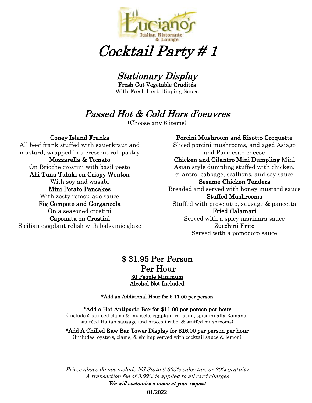

Cocktail Party # 1

Stationary Display

Fresh Cut Vegetable Crudités With Fresh Herb Dipping Sauce

## Passed Hot & Cold Hors d'oeuvres

(Choose any 6 items)

#### Coney Island Franks

All beef frank stuffed with sauerkraut and mustard, wrapped in a crescent roll pastry Mozzarella & Tomato On Brioche crostini with basil pesto Ahi Tuna Tataki on Crispy Wonton With soy and wasabi Mini Potato Pancakes With zesty remoulade sauce Fig Compote and Gorganzola On a seasoned crostini Caponata on Crostini Sicilian eggplant relish with balsamic glaze

#### Porcini Mushroom and Risotto Croquette

Sliced porcini mushrooms, and aged Asiago and Parmesan cheese Chicken and Cilantro Mini Dumpling Mini Asian style dumpling stuffed with chicken, cilantro, cabbage, scallions, and soy sauce Sesame Chicken Tenders Breaded and served with honey mustard sauce Stuffed Mushrooms Stuffed with prosciutto, sausage & pancetta Fried Calamari Served with a spicy marinara sauce Zucchini Frito

#### Served with a pomodoro sauce

#### \$ 31.95 Per Person Per Hour 30 People Minimum Alcohol Not Included

#### \*Add an Additional Hour for \$ 11.00 per person

#### \*Add a Hot Antipasto Bar for \$11.00 per person per hour

(Includes: sautéed clams & mussels, eggplant rollatini, spiedini alla Romano, sautéed Italian sausage and broccoli rabe, & stuffed mushrooms)

#### \*Add A Chilled Raw Bar Tower Display for \$16.00 per person per hour (Includes: oysters, clams, & shrimp served with cocktail sauce & lemon)

Prices above do not include NJ State 6.625% sales tax, or 20% gratuity A transaction fee of 3.99% is applied to all card charges We will customize a menu at your request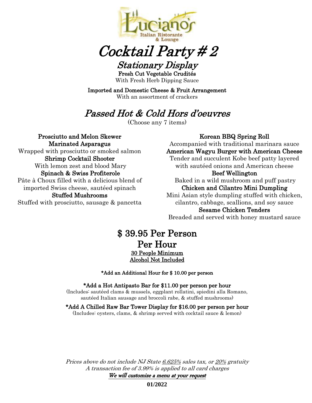

## Cocktail Party # 2

Stationary Display Fresh Cut Vegetable Crudités With Fresh Herb Dipping Sauce

Imported and Domestic Cheese & Fruit Arrangement With an assortment of crackers

## Passed Hot & Cold Hors d'oeuvres

(Choose any 7 items)

Prosciutto and Melon Skewer Marinated Asparagus Wrapped with prosciutto or smoked salmon Shrimp Cocktail Shooter With lemon zest and blood Mary Spinach & Swiss Profiterole Pâte à Choux filled with a delicious blend of imported Swiss cheese, sautéed spinach Stuffed Mushrooms Stuffed with prosciutto, sausage & pancetta

#### Korean BBQ Spring Roll

Accompanied with traditional marinara sauce American Wagyu Burger with American Cheese

Tender and succulent Kobe beef patty layered with sautéed onions and American cheese

#### Beef Wellington

Baked in a wild mushroom and puff pastry Chicken and Cilantro Mini Dumpling

Mini Asian style dumpling stuffed with chicken, cilantro, cabbage, scallions, and soy sauce Sesame Chicken Tenders

Breaded and served with honey mustard sauce

### \$ 39.95 Per Person Per Hour 30 People Minimum Alcohol Not Included

\*Add an Additional Hour for \$ 10.00 per person

\*Add a Hot Antipasto Bar for \$11.00 per person per hour

(Includes: sautéed clams & mussels, eggplant rollatini, spiedini alla Romano, sautéed Italian sausage and broccoli rabe, & stuffed mushrooms)

#### \*Add A Chilled Raw Bar Tower Display for \$16.00 per person per hour

(Includes: oysters, clams, & shrimp served with cocktail sauce & lemon)

Prices above do not include NJ State 6.625% sales tax, or 20% gratuity A transaction fee of 3.99% is applied to all card charges We will customize a menu at your request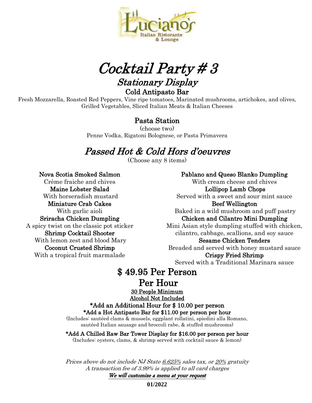

Cocktail Party # 3

Stationary Display Cold Antipasto Bar

Fresh Mozzarella, Roasted Red Peppers, Vine ripe tomatoes, Marinated mushrooms, artichokes, and olives, Grilled Vegetables, Sliced Italian Meats & Italian Cheeses

#### Pasta Station

(choose two) Penne Vodka, Rigatoni Bolognese, or Pasta Primavera

## Passed Hot & Cold Hors d'oeuvres

(Choose any 8 items)

Nova Scotia Smoked Salmon Crème fraiche and chives Maine Lobster Salad With horseradish mustard Miniature Crab Cakes With garlic aioli Sriracha Chicken Dumpling A spicy twist on the classic pot sticker Shrimp Cocktail Shooter With lemon zest and blood Mary Coconut Crusted Shrimp With a tropical fruit marmalade

Pablano and Queso Blanko Dumpling With cream cheese and chives Lollipop Lamb Chops Served with a sweet and sour mint sauce Beef Wellington Baked in a wild mushroom and puff pastry Chicken and Cilantro Mini Dumpling Mini Asian style dumpling stuffed with chicken, cilantro, cabbage, scallions, and soy sauce Sesame Chicken Tenders Breaded and served with honey mustard sauce Crispy Fried Shrimp Served with a Traditional Marinara sauce

## \$ 49.95 Per Person

## Per Hour

30 People Minimum Alcohol Not Included

## \*Add an Additional Hour for \$ 10.00 per person

\*Add a Hot Antipasto Bar for \$11.00 per person per hour (Includes: sautéed clams & mussels, eggplant rollatini, spiedini alla Romano, sautéed Italian sausage and broccoli rabe, & stuffed mushrooms)

\*Add A Chilled Raw Bar Tower Display for \$16.00 per person per hour

(Includes: oysters, clams, & shrimp served with cocktail sauce & lemon)

Prices above do not include NJ State 6.625% sales tax, or 20% gratuity A transaction fee of 3.99% is applied to all card charges

We will customize a menu at your request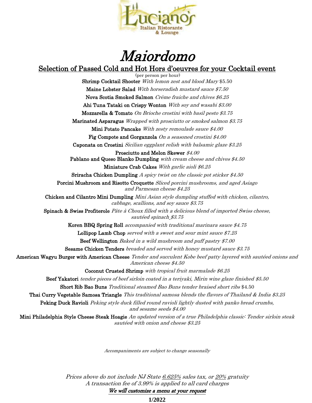

## Maiordomo

#### Selection of Passed Cold and Hot Hors d'oeuvres for your Cocktail event

(per person per hour) Shrimp Cocktail Shooter With lemon zest and blood Mary \$5.50 Maine Lobster Salad With horseradish mustard sauce \$7.50 Nova Scotia Smoked Salmon Crème fraiche and chives \$6.25 Ahi Tuna Tataki on Crispy Wonton With soy and wasabi \$3.00 Mozzarella & Tomato On Brioche crostini with basil pesto \$3.75 Marinated Asparagus Wrapped with prosciutto or smoked salmon \$3.75 Mini Potato Pancake With zesty remoulade sauce \$4.00 Fig Compote and Gorganzola On a seasoned crostini \$4.00 Caponata on Crostini Sicilian eggplant relish with balsamic glaze \$3.25 Prosciutto and Melon Skewer \$4.00 Pablano and Queso Blanko Dumpling with cream cheese and chives \$4.50 Miniature Crab Cakes With garlic aioli \$6.25 Sriracha Chicken Dumpling A spicy twist on the classic pot sticker \$4.50 Porcini Mushroom and Risotto Croquette Sliced porcini mushrooms, and aged Asiago and Parmesan cheese \$4.25 Chicken and Cilantro Mini Dumpling Mini Asian style dumpling stuffed with chicken, cilantro, cabbage, scallions, and soy sauce \$3.75 Spinach & Swiss Profiterole Pâte à Choux filled with a delicious blend of imported Swiss cheese, sautéed spinach \$3.75 Koren BBQ Spring Roll accompanied with traditional marinara sauce \$4.75 Lollipop Lamb Chop served with a sweet and sour mint sauce \$7.25 Beef Wellington Baked in a wild mushroom and puff pastry \$7.00 Sesame Chicken Tenders breaded and served with honey mustard sauce \$3.75 American Wagyu Burger with American Cheese Tender and succulent Kobe beef patty layered with sautéed onions and American cheese \$4.50 Coconut Crusted Shrimp with tropical fruit marmalade \$6.25 Beef Yakatori tender pieces of beef sirloin coated in a teriyaki, Mirin wine glaze finished \$5.50 Short Rib Bao Buns Traditional steamed Bao Buns tender braised short ribs \$4.50 Thai Curry Vegetable Samosa Triangle This traditional samosa blends the flavors of Thailand & India \$3.25 Peking Duck Ravioli *Peking style duck filled round ravioli lightly dusted with panko bread crumbs*, and sesame seeds \$4.00 Mini Philadelphia Style Cheese Steak Hoagie An updated version of a true Philadelphia classic: Tender sirloin steak sautéed with onion and cheese \$3.25

Accompaniments are subject to change seasonally

Prices above do not include NJ State 6.625% sales tax, or 20% gratuity A transaction fee of 3.99% is applied to all card charges We will customize a menu at your request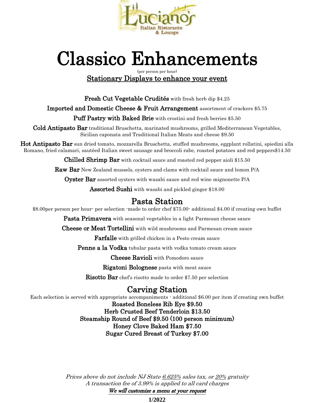

## Classico Enhancements

(per person per hour) Stationary Displays to enhance your event

Fresh Cut Vegetable Crudités with fresh herb dip \$4.25

Imported and Domestic Cheese & Fruit Arrangement assortment of crackers \$5.75

Puff Pastry with Baked Brie with crostini and fresh berries \$5.50

Cold Antipasto Bar traditional Bruschetta, marinated mushrooms, grilled Mediterranean Vegetables, Sicilian caponata and Traditional Italian Meats and cheese \$9.50

Hot Antipasto Bar sun dried tomato, mozzarella Bruschetta, stuffed mushrooms, eggplant rollatini, spiedini alla Romano, fried calamari, sautéed Italian sweet sausage and broccoli rabe, roasted potatoes and red peppers\$14.50

**Chilled Shrimp Bar** with cocktail sauce and roasted red pepper aioli \$15.50

Raw Bar New Zealand mussels, oysters and clams with cocktail sauce and lemon P/A

**Oyster Bar** assorted oysters with wasabi sauce and red wine mignonette P/A

**Assorted Sushi** with wasabi and pickled ginger \$18.00

### Pasta Station

\$8.00per person per hour- per selection -made to order chef \$75.00- additional \$4.00 if creating own buffet

**Pasta Primavera** with seasonal vegetables in a light Parmesan cheese sauce

**Cheese or Meat Tortellini** with wild mushrooms and Parmesan cream sauce

**Farfalle** with grilled chicken in a Pesto cream sauce

Penne a la Vodka tubular pasta with vodka tomato cream sauce

Cheese Ravioli with Pomodoro sauce

Rigatoni Bolognese pasta with meat sauce

Risotto Bar chef's risotto made to order \$7.50 per selection

## Carving Station

Each selection is served with appropriate accompaniments - additional \$6.00 per item if creating own buffet

Roasted Boneless Rib Eye \$9.50

Herb Crusted Beef Tenderloin \$13.50 Steamship Round of Beef \$9.50 (100 person minimum) Honey Clove Baked Ham \$7.50 Sugar Cured Breast of Turkey \$7.00

Prices above do not include NJ State 6.625% sales tax, or 20% gratuity A transaction fee of 3.99% is applied to all card charges We will customize a menu at your request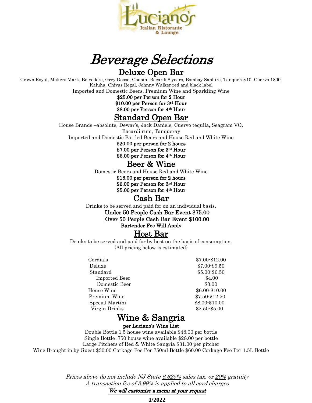

## Beverage Selections Deluxe Open Bar

Crown Royal, Makers Mark, Belvedere, Grey Goose, Chopin, Bacardi 8 years, Bombay Saphire, Tanqueray10, Cuervo 1800, Kaluha, Chivas Regal, Johnny Walker red and black label

Imported and Domestic Beers, Premium Wine and Sparkling Wine

\$25.00 per Person for 2 Hour \$10.00 per Person for 3rd Hour \$8.00 per Person for 4th Hour

## Standard Open Bar

House Brands –absolute, Dewar's, Jack Daniels, Cuervo tequila, Seagram VO, Bacardi rum, Tanqueray Imported and Domestic Bottled Beers and House Red and White Wine

\$20.00 per person for 2 hours \$7.00 per Person for 3rd Hour \$6.00 per Person for 4th Hour

## Beer & Wine

Domestic Beers and House Red and White Wine \$18.00 per person for 2 hours \$6.00 per Person for 3rd Hour \$5.00 per Person for 4th Hour

## Cash Bar

Drinks to be served and paid for on an individual basis.

Under 50 People Cash Bar Event \$75.00 Over 50 People Cash Bar Event \$100.00 Bartender Fee Will Apply

#### Host Bar

Drinks to be served and paid for by host on the basis of consumption. (All pricing below is estimated)

| Cordials             | \$7.00-\$12.00 |
|----------------------|----------------|
| Deluxe               | \$7.00-\$9.50  |
| Standard             | \$5.00-\$6.50  |
| <b>Imported Beer</b> | \$4.00         |
| Domestic Beer        | \$3.00         |
| House Wine           | \$6.00-\$10.00 |
| Premium Wine         | \$7.50-\$12.50 |
| Special Martini      | \$8.00-\$10.00 |
| Virgin Drinks        | \$2.50-\$5.00  |

## Wine & Sangria

per Luciano's Wine List

Double Bottle 1.5 house wine available \$48.00 per bottle Single Bottle .750 house wine available \$28.00 per bottle Large Pitchers of Red & White Sangria \$31.00 per pitcher Wine Brought in by Guest \$30.00 Corkage Fee Per 750ml Bottle \$60.00 Corkage Fee Per 1.5L Bottle

> Prices above do not include NJ State 6.625% sales tax, or 20% gratuity A transaction fee of 3.99% is applied to all card charges We will customize a menu at your request